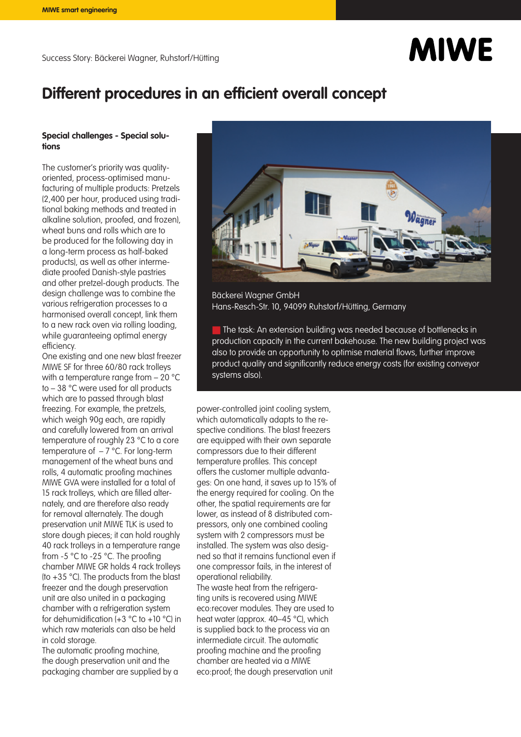# **MIWE**

## **Different procedures in an efficient overall concept**

#### **Special challenges - Special solutions**

The customer's priority was qualityoriented, process-optimised manufacturing of multiple products: Pretzels (2,400 per hour, produced using traditional baking methods and treated in alkaline solution, proofed, and frozen), wheat buns and rolls which are to be produced for the following day in a long-term process as half-baked products), as well as other intermediate proofed Danish-style pastries and other pretzel-dough products. The design challenge was to combine the various refrigeration processes to a harmonised overall concept, link them to a new rack oven via rolling loading, while guaranteeing optimal energy efficiency.

One existing and one new blast freezer MIWE SF for three 60/80 rack trolleys with a temperature range from - 20 °C to – 38 °C were used for all products which are to passed through blast freezing. For example, the pretzels, which weigh 90g each, are rapidly and carefully lowered from an arrival temperature of roughly 23 °C to a core temperature of  $-7$  °C. For long-term management of the wheat buns and rolls, 4 automatic proofing machines MIWE GVA were installed for a total of 15 rack trolleys, which are filled alternately, and are therefore also ready for removal alternately. The dough preservation unit MIWE TLK is used to store dough pieces; it can hold roughly 40 rack trolleys in a temperature range from -5 °C to -25 °C. The proofing chamber MIWE GR holds 4 rack trolleys (to +35 °C). The products from the blast freezer and the dough preservation unit are also united in a packaging chamber with a refrigeration system for dehumidification  $(+3 \degree C)$  to  $+10 \degree C$ ) in which raw materials can also be held in cold storage.

The automatic proofing machine, the dough preservation unit and the packaging chamber are supplied by a



Bäckerei Wagner GmbH Hans-Resch-Str. 10, 94099 Ruhstorf/Hütting, Germany

The task: An extension building was needed because of bottlenecks in production capacity in the current bakehouse. The new building project was also to provide an opportunity to optimise material flows, further improve product quality and significantly reduce energy costs (for existing conveyor systems also).

power-controlled joint cooling system, which automatically adapts to the respective conditions. The blast freezers are equipped with their own separate compressors due to their different temperature profiles. This concept offers the customer multiple advantages: On one hand, it saves up to 15% of the energy required for cooling. On the other, the spatial requirements are far lower, as instead of 8 distributed compressors, only one combined cooling system with 2 compressors must be installed. The system was also designed so that it remains functional even if one compressor fails, in the interest of operational reliability. The waste heat from the refrigerating units is recovered using MIWE eco:recover modules. They are used to

heat water (approx. 40–45 °C), which is supplied back to the process via an intermediate circuit. The automatic proofing machine and the proofing chamber are heated via a MIWE eco:proof; the dough preservation unit